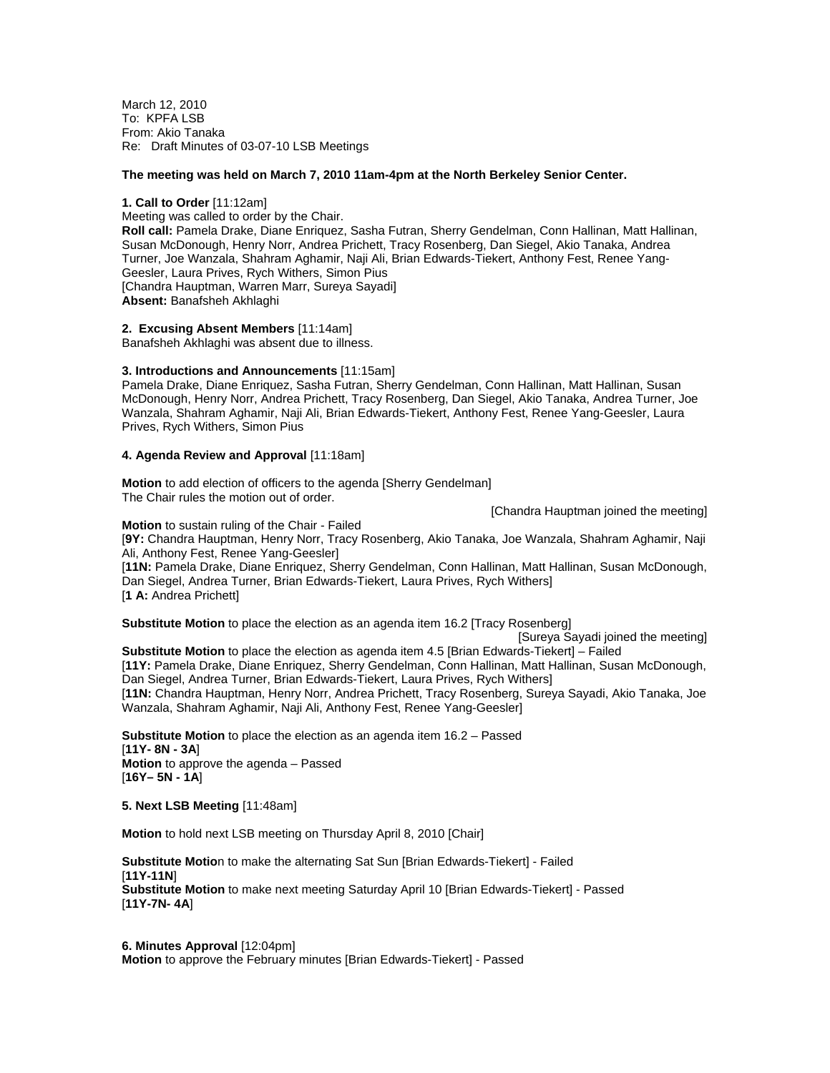March 12, 2010 To: KPFA LSB From: Akio Tanaka Re: Draft Minutes of 03-07-10 LSB Meetings

# **The meeting was held on March 7, 2010 11am-4pm at the North Berkeley Senior Center.**

#### **1. Call to Order** [11:12am]

Meeting was called to order by the Chair. **Roll call:** Pamela Drake, Diane Enriquez, Sasha Futran, Sherry Gendelman, Conn Hallinan, Matt Hallinan, Susan McDonough, Henry Norr, Andrea Prichett, Tracy Rosenberg, Dan Siegel, Akio Tanaka, Andrea Turner, Joe Wanzala, Shahram Aghamir, Naji Ali, Brian Edwards-Tiekert, Anthony Fest, Renee Yang-Geesler, Laura Prives, Rych Withers, Simon Pius [Chandra Hauptman, Warren Marr, Sureya Sayadi] **Absent:** Banafsheh Akhlaghi

**2. Excusing Absent Members** [11:14am] Banafsheh Akhlaghi was absent due to illness.

#### **3. Introductions and Announcements** [11:15am]

Pamela Drake, Diane Enriquez, Sasha Futran, Sherry Gendelman, Conn Hallinan, Matt Hallinan, Susan McDonough, Henry Norr, Andrea Prichett, Tracy Rosenberg, Dan Siegel, Akio Tanaka, Andrea Turner, Joe Wanzala, Shahram Aghamir, Naji Ali, Brian Edwards-Tiekert, Anthony Fest, Renee Yang-Geesler, Laura Prives, Rych Withers, Simon Pius

#### **4. Agenda Review and Approval** [11:18am]

**Motion** to add election of officers to the agenda [Sherry Gendelman] The Chair rules the motion out of order.

[Chandra Hauptman joined the meeting]

**Motion** to sustain ruling of the Chair - Failed [**9Y:** Chandra Hauptman, Henry Norr, Tracy Rosenberg, Akio Tanaka, Joe Wanzala, Shahram Aghamir, Naji Ali, Anthony Fest, Renee Yang-Geesler] [**11N:** Pamela Drake, Diane Enriquez, Sherry Gendelman, Conn Hallinan, Matt Hallinan, Susan McDonough, Dan Siegel, Andrea Turner, Brian Edwards-Tiekert, Laura Prives, Rych Withers] [**1 A:** Andrea Prichett]

**Substitute Motion** to place the election as an agenda item 16.2 [Tracy Rosenberg]

[Sureya Sayadi joined the meeting]

**Substitute Motion** to place the election as agenda item 4.5 [Brian Edwards-Tiekert] – Failed [**11Y:** Pamela Drake, Diane Enriquez, Sherry Gendelman, Conn Hallinan, Matt Hallinan, Susan McDonough, Dan Siegel, Andrea Turner, Brian Edwards-Tiekert, Laura Prives, Rych Withers] [**11N:** Chandra Hauptman, Henry Norr, Andrea Prichett, Tracy Rosenberg, Sureya Sayadi, Akio Tanaka, Joe Wanzala, Shahram Aghamir, Naji Ali, Anthony Fest, Renee Yang-Geesler]

**Substitute Motion** to place the election as an agenda item 16.2 – Passed [**11Y- 8N - 3A**] **Motion** to approve the agenda – Passed [**16Y– 5N - 1A**]

**5. Next LSB Meeting** [11:48am]

**Motion** to hold next LSB meeting on Thursday April 8, 2010 [Chair]

**Substitute Motio**n to make the alternating Sat Sun [Brian Edwards-Tiekert] - Failed [**11Y-11N**] **Substitute Motion** to make next meeting Saturday April 10 [Brian Edwards-Tiekert] - Passed [**11Y-7N- 4A**]

**6. Minutes Approval** [12:04pm] **Motion** to approve the February minutes [Brian Edwards-Tiekert] - Passed